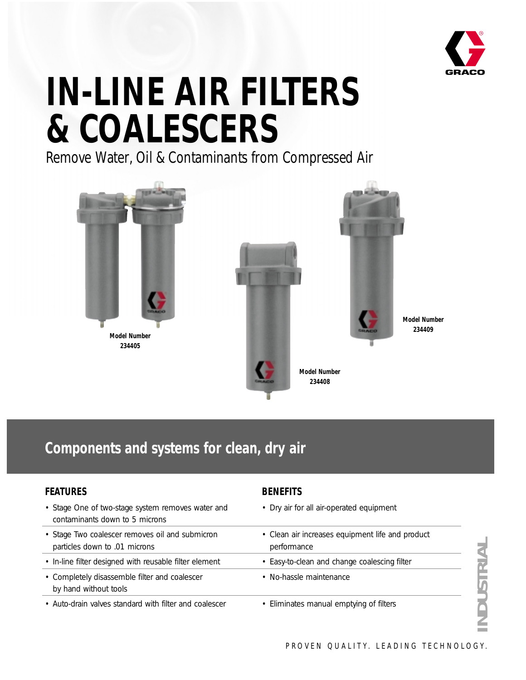

# **IN-LINE AIR FILTERS & COALESCERS**

Remove Water, Oil & Contaminants from Compressed Air



## **Components and systems for clean, dry air**

#### **FEATURES**

- Stage One of two-stage system removes water and contaminants down to 5 microns
- Stage Two coalescer removes oil and submicron particles down to .01 microns
- In-line filter designed with reusable filter element
- Completely disassemble filter and coalescer by hand without tools
- Auto-drain valves standard with filter and coalescer

#### **BENEFITS**

- Dry air for all air-operated equipment
- Clean air increases equipment life and product performance • Easy-to-clean and change coalescing filter • No-hassle maintenance
- Eliminates manual emptying of filters